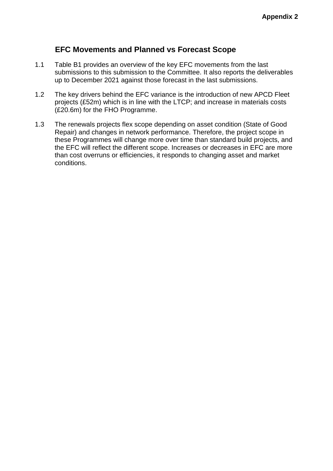## **EFC Movements and Planned vs Forecast Scope**

- 1.1 Table B1 provides an overview of the key EFC movements from the last submissions to this submission to the Committee. It also reports the deliverables up to December 2021 against those forecast in the last submissions.
- 1.2 The key drivers behind the EFC variance is the introduction of new APCD Fleet projects (£52m) which is in line with the LTCP; and increase in materials costs (£20.6m) for the FHO Programme.
- 1.3 The renewals projects flex scope depending on asset condition (State of Good Repair) and changes in network performance. Therefore, the project scope in these Programmes will change more over time than standard build projects, and the EFC will reflect the different scope. Increases or decreases in EFC are more than cost overruns or efficiencies, it responds to changing asset and market conditions.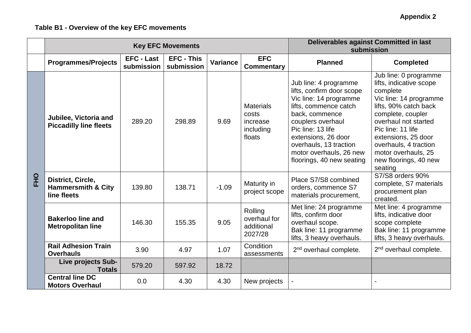## **Table B1 - Overview of the key EFC movements**

|            |                                                                   | <b>Key EFC Movements</b>        | Deliverables against Committed in last<br>submission |                 |                                                              |                                                                                                                                                                                                                                                                            |                                                                                                                                                                                                                                                                                              |
|------------|-------------------------------------------------------------------|---------------------------------|------------------------------------------------------|-----------------|--------------------------------------------------------------|----------------------------------------------------------------------------------------------------------------------------------------------------------------------------------------------------------------------------------------------------------------------------|----------------------------------------------------------------------------------------------------------------------------------------------------------------------------------------------------------------------------------------------------------------------------------------------|
|            | <b>Programmes/Projects</b>                                        | <b>EFC - Last</b><br>submission | <b>EFC - This</b><br>submission                      | <b>Variance</b> | <b>EFC</b><br><b>Commentary</b>                              | <b>Planned</b>                                                                                                                                                                                                                                                             | <b>Completed</b>                                                                                                                                                                                                                                                                             |
| <b>PHO</b> | Jubilee, Victoria and<br><b>Piccadilly line fleets</b>            | 289.20                          | 298.89                                               | 9.69            | <b>Materials</b><br>costs<br>increase<br>including<br>floats | Jub line: 4 programme<br>lifts, confirm door scope<br>Vic line: 14 programme<br>lifts, commence catch<br>back, commence<br>couplers overhaul<br>Pic line: 13 life<br>extensions, 26 door<br>overhauls, 13 traction<br>motor overhauls, 26 new<br>floorings, 40 new seating | Jub line: 0 programme<br>lifts, indicative scope<br>complete<br>Vic line: 14 programme<br>lifts, 90% catch back<br>complete, coupler<br>overhaul not started<br>Pic line: 11 life<br>extensions, 25 door<br>overhauls, 4 traction<br>motor overhauls, 25<br>new floorings, 40 new<br>seating |
|            | District, Circle,<br><b>Hammersmith &amp; City</b><br>line fleets | 139.80                          | 138.71                                               | $-1.09$         | Maturity in<br>project scope                                 | Place S7/S8 combined<br>orders, commence S7<br>materials procurement,                                                                                                                                                                                                      | S7/S8 orders 90%<br>complete, S7 materials<br>procurement plan<br>created.                                                                                                                                                                                                                   |
|            | <b>Bakerloo line and</b><br><b>Metropolitan line</b>              | 146.30                          | 155.35                                               | 9.05            | Rolling<br>overhaul for<br>additional<br>2027/28             | Met line: 24 programme<br>lifts, confirm door<br>overhaul scope.<br>Bak line: 11 programme<br>lifts, 3 heavy overhauls.                                                                                                                                                    | Met line: 4 programme<br>lifts, indicative door<br>scope complete<br>Bak line: 11 programme<br>lifts, 3 heavy overhauls.                                                                                                                                                                     |
|            | <b>Rail Adhesion Train</b><br><b>Overhauls</b>                    | 3.90                            | 4.97                                                 | 1.07            | Condition<br>assessments                                     | 2 <sup>nd</sup> overhaul complete.                                                                                                                                                                                                                                         | 2 <sup>nd</sup> overhaul complete.                                                                                                                                                                                                                                                           |
|            | Live projects Sub-<br><b>Totals</b>                               | 579.20                          | 597.92                                               | 18.72           |                                                              |                                                                                                                                                                                                                                                                            |                                                                                                                                                                                                                                                                                              |
|            | <b>Central line DC</b><br><b>Motors Overhaul</b>                  | 0.0                             | 4.30                                                 | 4.30            | New projects                                                 |                                                                                                                                                                                                                                                                            |                                                                                                                                                                                                                                                                                              |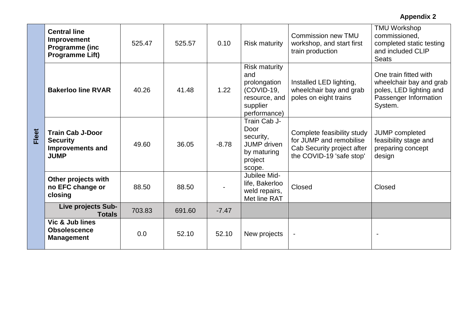**Appendix 2**

| Fleet | <b>Central line</b><br>Improvement<br><b>Programme (inc</b><br><b>Programme Lift)</b> | 525.47 | 525.57 | 0.10    | <b>Risk maturity</b>                                                                                   | Commission new TMU<br>workshop, and start first<br>train production                                             | <b>TMU Workshop</b><br>commissioned,<br>completed static testing<br>and included CLIP<br><b>Seats</b>           |
|-------|---------------------------------------------------------------------------------------|--------|--------|---------|--------------------------------------------------------------------------------------------------------|-----------------------------------------------------------------------------------------------------------------|-----------------------------------------------------------------------------------------------------------------|
|       | <b>Bakerloo line RVAR</b>                                                             | 40.26  | 41.48  | 1.22    | <b>Risk maturity</b><br>and<br>prolongation<br>(COVID-19,<br>resource, and<br>supplier<br>performance) | Installed LED lighting,<br>wheelchair bay and grab<br>poles on eight trains                                     | One train fitted with<br>wheelchair bay and grab<br>poles, LED lighting and<br>Passenger Information<br>System. |
|       | <b>Train Cab J-Door</b><br><b>Security</b><br><b>Improvements and</b><br><b>JUMP</b>  | 49.60  | 36.05  | $-8.78$ | Train Cab J-<br>Door<br>security,<br><b>JUMP</b> driven<br>by maturing<br>project<br>scope.            | Complete feasibility study<br>for JUMP and remobilise<br>Cab Security project after<br>the COVID-19 'safe stop' | JUMP completed<br>feasibility stage and<br>preparing concept<br>design                                          |
|       | Other projects with<br>no EFC change or<br>closing                                    | 88.50  | 88.50  |         | Jubilee Mid-<br>life, Bakerloo<br>weld repairs,<br>Met line RAT                                        | Closed                                                                                                          | Closed                                                                                                          |
|       | Live projects Sub-<br><b>Totals</b>                                                   | 703.83 | 691.60 | $-7.47$ |                                                                                                        |                                                                                                                 |                                                                                                                 |
|       | Vic & Jub lines<br><b>Obsolescence</b><br><b>Management</b>                           | 0.0    | 52.10  | 52.10   | New projects                                                                                           | $\overline{\phantom{a}}$                                                                                        |                                                                                                                 |